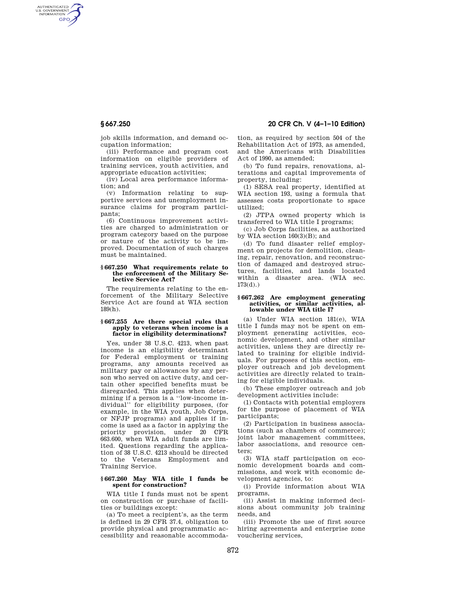AUTHENTICATED<br>U.S. GOVERNMENT<br>INFORMATION **GPO** 

**§ 667.250 20 CFR Ch. V (4–1–10 Edition)** 

job skills information, and demand occupation information;

(iii) Performance and program cost information on eligible providers of training services, youth activities, and appropriate education activities;

(iv) Local area performance information; and

(v) Information relating to supportive services and unemployment insurance claims for program participants;

(6) Continuous improvement activities are charged to administration or program category based on the purpose or nature of the activity to be improved. Documentation of such charges must be maintained.

### **§ 667.250 What requirements relate to the enforcement of the Military Selective Service Act?**

The requirements relating to the enforcement of the Military Selective Service Act are found at WIA section 189(h).

## **§ 667.255 Are there special rules that apply to veterans when income is a factor in eligibility determinations?**

Yes, under 38 U.S.C. 4213, when past income is an eligibility determinant for Federal employment or training programs, any amounts received as military pay or allowances by any person who served on active duty, and certain other specified benefits must be disregarded. This applies when determining if a person is a ''low-income individual'' for eligibility purposes, (for example, in the WIA youth, Job Corps, or NFJP programs) and applies if income is used as a factor in applying the priority provision, under 20 CFR 663.600, when WIA adult funds are limited. Questions regarding the application of 38 U.S.C. 4213 should be directed to the Veterans Employment and Training Service.

## **§ 667.260 May WIA title I funds be spent for construction?**

WIA title I funds must not be spent on construction or purchase of facilities or buildings except:

(a) To meet a recipient's, as the term is defined in 29 CFR 37.4, obligation to provide physical and programmatic accessibility and reasonable accommodation, as required by section 504 of the Rehabilitation Act of 1973, as amended, and the Americans with Disabilities Act of 1990, as amended;

(b) To fund repairs, renovations, alterations and capital improvements of property, including:

(1) SESA real property, identified at WIA section 193, using a formula that assesses costs proportionate to space utilized;

(2) JTPA owned property which is transferred to WIA title I programs;

(c) Job Corps facilities, as authorized by WIA section  $160(3)(B)$ ; and

(d) To fund disaster relief employment on projects for demolition, cleaning, repair, renovation, and reconstruction of damaged and destroyed structures, facilities, and lands located within a disaster area. (WIA sec. 173(d).)

#### **§ 667.262 Are employment generating activities, or similar activities, allowable under WIA title I?**

(a) Under WIA section 181(e), WIA title I funds may not be spent on employment generating activities, economic development, and other similar activities, unless they are directly related to training for eligible individuals. For purposes of this section, employer outreach and job development activities are directly related to training for eligible individuals.

(b) These employer outreach and job development activities include:

(1) Contacts with potential employers for the purpose of placement of WIA participants;

(2) Participation in business associations (such as chambers of commerce); joint labor management committees, labor associations, and resource centers;

(3) WIA staff participation on economic development boards and commissions, and work with economic development agencies, to:

(i) Provide information about WIA programs,

(ii) Assist in making informed decisions about community job training needs, and

(iii) Promote the use of first source hiring agreements and enterprise zone vouchering services,